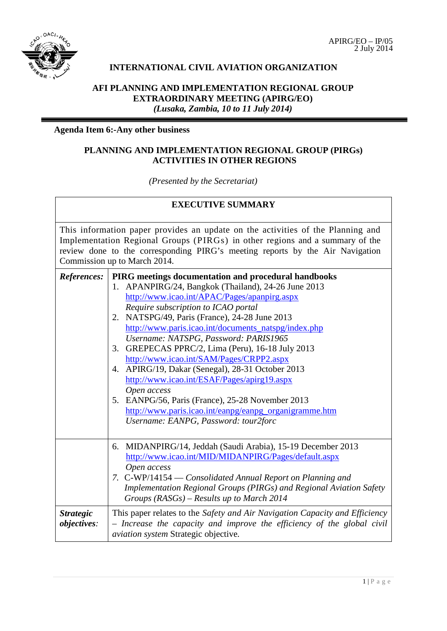

# **INTERNATIONAL CIVIL AVIATION ORGANIZATION**

## **AFI PLANNING AND IMPLEMENTATION REGIONAL GROUP EXTRAORDINARY MEETING (APIRG/EO)** *(Lusaka, Zambia, 10 to 11 July 2014)*

#### **Agenda Item 6:-Any other business**

#### **PLANNING AND IMPLEMENTATION REGIONAL GROUP (PIRGs) ACTIVITIES IN OTHER REGIONS**

*(Presented by the Secretariat)*

# **EXECUTIVE SUMMARY** This information paper provides an update on the activities of the Planning and

Implementation Regional Groups (PIRGs) in other regions and a summary of the review done to the corresponding PIRG's meeting reports by the Air Navigation Commission up to March 2014.

| References:        | PIRG meetings documentation and procedural handbooks                        |
|--------------------|-----------------------------------------------------------------------------|
|                    | 1. APANPIRG/24, Bangkok (Thailand), 24-26 June 2013                         |
|                    | http://www.icao.int/APAC/Pages/apanpirg.aspx                                |
|                    | Require subscription to ICAO portal                                         |
|                    | 2. NATSPG/49, Paris (France), 24-28 June 2013                               |
|                    | http://www.paris.icao.int/documents_natspg/index.php                        |
|                    | Username: NATSPG, Password: PARIS1965                                       |
|                    | 3. GREPECAS PPRC/2, Lima (Peru), 16-18 July 2013                            |
|                    | http://www.icao.int/SAM/Pages/CRPP2.aspx                                    |
|                    | 4. APIRG/19, Dakar (Senegal), 28-31 October 2013                            |
|                    | http://www.icao.int/ESAF/Pages/apirg19.aspx                                 |
|                    | Open access                                                                 |
|                    | 5. EANPG/56, Paris (France), 25-28 November 2013                            |
|                    | http://www.paris.icao.int/eanpg/eanpg_organigramme.htm                      |
|                    | Username: EANPG, Password: tour2forc                                        |
|                    |                                                                             |
|                    | 6. MIDANPIRG/14, Jeddah (Saudi Arabia), 15-19 December 2013                 |
|                    | http://www.icao.int/MID/MIDANPIRG/Pages/default.aspx                        |
|                    | Open access                                                                 |
|                    | 7. C-WP/14154 — Consolidated Annual Report on Planning and                  |
|                    | Implementation Regional Groups (PIRGs) and Regional Aviation Safety         |
|                    | Groups $(RASGs)$ – Results up to March 2014                                 |
| <b>Strategic</b>   | This paper relates to the Safety and Air Navigation Capacity and Efficiency |
| <i>objectives:</i> | - Increase the capacity and improve the efficiency of the global civil      |
|                    | aviation system Strategic objective.                                        |
|                    |                                                                             |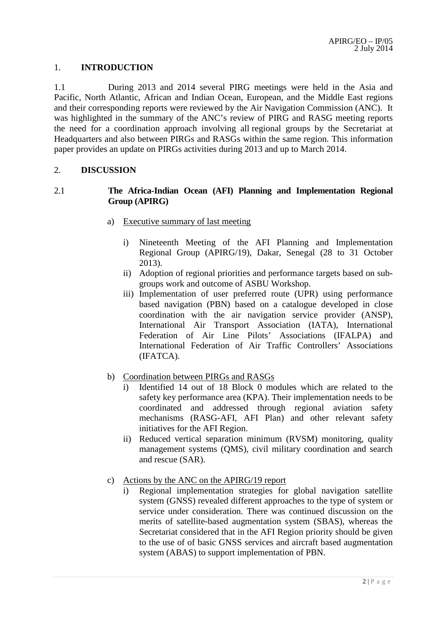#### 1. **INTRODUCTION**

1.1 During 2013 and 2014 several PIRG meetings were held in the Asia and Pacific, North Atlantic, African and Indian Ocean, European, and the Middle East regions and their corresponding reports were reviewed by the Air Navigation Commission (ANC). It was highlighted in the summary of the ANC's review of PIRG and RASG meeting reports the need for a coordination approach involving all regional groups by the Secretariat at Headquarters and also between PIRGs and RASGs within the same region. This information paper provides an update on PIRGs activities during 2013 and up to March 2014.

#### 2. **DISCUSSION**

#### 2.1 **The Africa-Indian Ocean (AFI) Planning and Implementation Regional Group (APIRG)**

- a) Executive summary of last meeting
	- i) Nineteenth Meeting of the AFI Planning and Implementation Regional Group (APIRG/19), Dakar, Senegal (28 to 31 October 2013).
	- ii) Adoption of regional priorities and performance targets based on subgroups work and outcome of ASBU Workshop.
	- iii) Implementation of user preferred route (UPR) using performance based navigation (PBN) based on a catalogue developed in close coordination with the air navigation service provider (ANSP), International Air Transport Association (IATA), International Federation of Air Line Pilots' Associations (IFALPA) and International Federation of Air Traffic Controllers' Associations (IFATCA).
- b) Coordination between PIRGs and RASGs
	- i) Identified 14 out of 18 Block 0 modules which are related to the safety key performance area (KPA). Their implementation needs to be coordinated and addressed through regional aviation safety mechanisms (RASG-AFI, AFI Plan) and other relevant safety initiatives for the AFI Region.
	- ii) Reduced vertical separation minimum (RVSM) monitoring, quality management systems (QMS), civil military coordination and search and rescue (SAR).
- c) Actions by the ANC on the APIRG/19 report
	- i) Regional implementation strategies for global navigation satellite system (GNSS) revealed different approaches to the type of system or service under consideration. There was continued discussion on the merits of satellite-based augmentation system (SBAS), whereas the Secretariat considered that in the AFI Region priority should be given to the use of of basic GNSS services and aircraft based augmentation system (ABAS) to support implementation of PBN.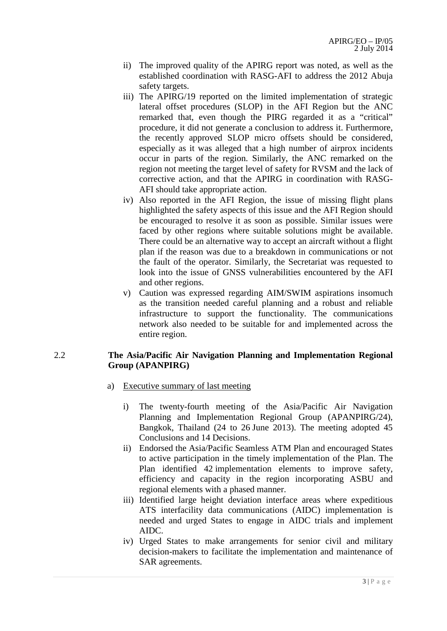- ii) The improved quality of the APIRG report was noted, as well as the established coordination with RASG-AFI to address the 2012 Abuja safety targets.
- iii) The APIRG/19 reported on the limited implementation of strategic lateral offset procedures (SLOP) in the AFI Region but the ANC remarked that, even though the PIRG regarded it as a "critical" procedure, it did not generate a conclusion to address it. Furthermore, the recently approved SLOP micro offsets should be considered, especially as it was alleged that a high number of airprox incidents occur in parts of the region. Similarly, the ANC remarked on the region not meeting the target level of safety for RVSM and the lack of corrective action, and that the APIRG in coordination with RASG-AFI should take appropriate action.
- iv) Also reported in the AFI Region, the issue of missing flight plans highlighted the safety aspects of this issue and the AFI Region should be encouraged to resolve it as soon as possible. Similar issues were faced by other regions where suitable solutions might be available. There could be an alternative way to accept an aircraft without a flight plan if the reason was due to a breakdown in communications or not the fault of the operator. Similarly, the Secretariat was requested to look into the issue of GNSS vulnerabilities encountered by the AFI and other regions.
- v) Caution was expressed regarding AIM/SWIM aspirations insomuch as the transition needed careful planning and a robust and reliable infrastructure to support the functionality. The communications network also needed to be suitable for and implemented across the entire region.

#### 2.2 **The Asia/Pacific Air Navigation Planning and Implementation Regional Group (APANPIRG)**

- a) Executive summary of last meeting
	- i) The twenty-fourth meeting of the Asia/Pacific Air Navigation Planning and Implementation Regional Group (APANPIRG/24), Bangkok, Thailand (24 to 26 June 2013). The meeting adopted 45 Conclusions and 14 Decisions.
	- ii) Endorsed the Asia/Pacific Seamless ATM Plan and encouraged States to active participation in the timely implementation of the Plan. The Plan identified 42 implementation elements to improve safety, efficiency and capacity in the region incorporating ASBU and regional elements with a phased manner.
	- iii) Identified large height deviation interface areas where expeditious ATS interfacility data communications (AIDC) implementation is needed and urged States to engage in AIDC trials and implement AIDC.
	- iv) Urged States to make arrangements for senior civil and military decision-makers to facilitate the implementation and maintenance of SAR agreements.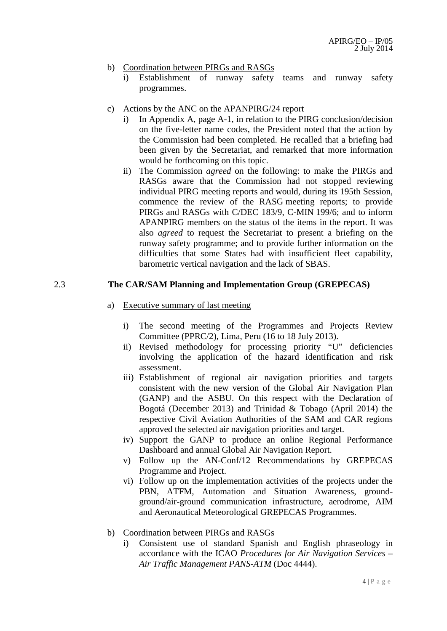- b) Coordination between PIRGs and RASGs
	- i) Establishment of runway safety teams and runway safety programmes.
- c) Actions by the ANC on the APANPIRG/24 report
	- i) In Appendix A, page A-1, in relation to the PIRG conclusion/decision on the five-letter name codes, the President noted that the action by the Commission had been completed. He recalled that a briefing had been given by the Secretariat, and remarked that more information would be forthcoming on this topic.
	- ii) The Commission *agreed* on the following: to make the PIRGs and RASGs aware that the Commission had not stopped reviewing individual PIRG meeting reports and would, during its 195th Session, commence the review of the RASG meeting reports; to provide PIRGs and RASGs with C/DEC 183/9, C-MIN 199/6; and to inform APANPIRG members on the status of the items in the report. It was also *agreed* to request the Secretariat to present a briefing on the runway safety programme; and to provide further information on the difficulties that some States had with insufficient fleet capability, barometric vertical navigation and the lack of SBAS.

#### 2.3 **The CAR/SAM Planning and Implementation Group (GREPECAS)**

- a) Executive summary of last meeting
	- i) The second meeting of the Programmes and Projects Review Committee (PPRC/2), Lima, Peru (16 to 18 July 2013).
	- ii) Revised methodology for processing priority "U" deficiencies involving the application of the hazard identification and risk assessment.
	- iii) Establishment of regional air navigation priorities and targets consistent with the new version of the Global Air Navigation Plan (GANP) and the ASBU. On this respect with the Declaration of Bogotá (December 2013) and Trinidad & Tobago (April 2014) the respective Civil Aviation Authorities of the SAM and CAR regions approved the selected air navigation priorities and target.
	- iv) Support the GANP to produce an online Regional Performance Dashboard and annual Global Air Navigation Report.
	- v) Follow up the AN-Conf/12 Recommendations by GREPECAS Programme and Project.
	- vi) Follow up on the implementation activities of the projects under the PBN, ATFM, Automation and Situation Awareness, groundground/air-ground communication infrastructure, aerodrome, AIM and Aeronautical Meteorological GREPECAS Programmes.
- b) Coordination between PIRGs and RASGs
	- i) Consistent use of standard Spanish and English phraseology in accordance with the ICAO *Procedures for Air Navigation Services – Air Traffic Management PANS-ATM* (Doc 4444).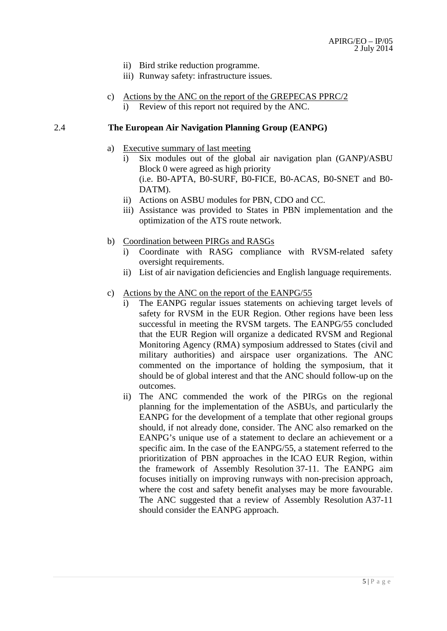- ii) Bird strike reduction programme.
- iii) Runway safety: infrastructure issues.
- c) Actions by the ANC on the report of the GREPECAS PPRC/2
	- i) Review of this report not required by the ANC.

#### 2.4 **The European Air Navigation Planning Group (EANPG)**

- a) Executive summary of last meeting
	- i) Six modules out of the global air navigation plan (GANP)/ASBU Block 0 were agreed as high priority (i.e. B0-APTA, B0-SURF, B0-FICE, B0-ACAS, B0-SNET and B0- DATM).
	- ii) Actions on ASBU modules for PBN, CDO and CC.
	- iii) Assistance was provided to States in PBN implementation and the optimization of the ATS route network.
- b) Coordination between PIRGs and RASGs
	- i) Coordinate with RASG compliance with RVSM-related safety oversight requirements.
	- ii) List of air navigation deficiencies and English language requirements.
- c) Actions by the ANC on the report of the EANPG/55
	- i) The EANPG regular issues statements on achieving target levels of safety for RVSM in the EUR Region. Other regions have been less successful in meeting the RVSM targets. The EANPG/55 concluded that the EUR Region will organize a dedicated RVSM and Regional Monitoring Agency (RMA) symposium addressed to States (civil and military authorities) and airspace user organizations. The ANC commented on the importance of holding the symposium, that it should be of global interest and that the ANC should follow-up on the outcomes.
	- ii) The ANC commended the work of the PIRGs on the regional planning for the implementation of the ASBUs, and particularly the EANPG for the development of a template that other regional groups should, if not already done, consider. The ANC also remarked on the EANPG's unique use of a statement to declare an achievement or a specific aim. In the case of the EANPG/55, a statement referred to the prioritization of PBN approaches in the ICAO EUR Region, within the framework of Assembly Resolution 37-11. The EANPG aim focuses initially on improving runways with non-precision approach, where the cost and safety benefit analyses may be more favourable. The ANC suggested that a review of Assembly Resolution A37-11 should consider the EANPG approach.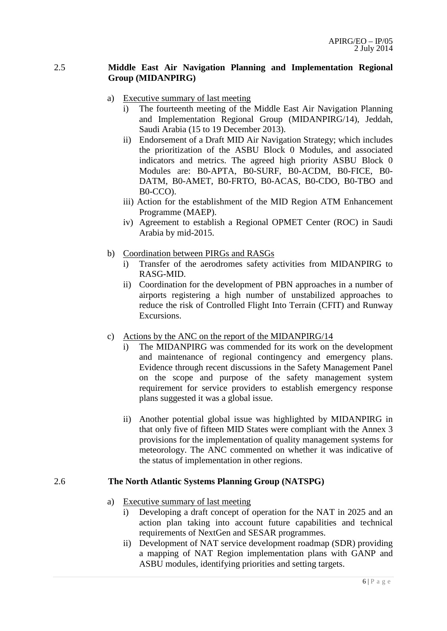#### 2.5 **Middle East Air Navigation Planning and Implementation Regional Group (MIDANPIRG)**

- a) Executive summary of last meeting
	- i) The fourteenth meeting of the Middle East Air Navigation Planning and Implementation Regional Group (MIDANPIRG/14), Jeddah, Saudi Arabia (15 to 19 December 2013).
	- ii) Endorsement of a Draft MID Air Navigation Strategy; which includes the prioritization of the ASBU Block 0 Modules, and associated indicators and metrics. The agreed high priority ASBU Block 0 Modules are: B0-APTA, B0-SURF, B0-ACDM, B0-FICE, B0- DATM, B0-AMET, B0-FRTO, B0-ACAS, B0-CDO, B0-TBO and B0-CCO).
	- iii) Action for the establishment of the MID Region ATM Enhancement Programme (MAEP).
	- iv) Agreement to establish a Regional OPMET Center (ROC) in Saudi Arabia by mid-2015.
- b) Coordination between PIRGs and RASGs
	- i) Transfer of the aerodromes safety activities from MIDANPIRG to RASG-MID.
	- ii) Coordination for the development of PBN approaches in a number of airports registering a high number of unstabilized approaches to reduce the risk of Controlled Flight Into Terrain (CFIT) and Runway Excursions.
- c) Actions by the ANC on the report of the MIDANPIRG/14
	- i) The MIDANPIRG was commended for its work on the development and maintenance of regional contingency and emergency plans. Evidence through recent discussions in the Safety Management Panel on the scope and purpose of the safety management system requirement for service providers to establish emergency response plans suggested it was a global issue.
	- ii) Another potential global issue was highlighted by MIDANPIRG in that only five of fifteen MID States were compliant with the Annex 3 provisions for the implementation of quality management systems for meteorology. The ANC commented on whether it was indicative of the status of implementation in other regions.

### 2.6 **The North Atlantic Systems Planning Group (NATSPG)**

- a) Executive summary of last meeting
	- i) Developing a draft concept of operation for the NAT in 2025 and an action plan taking into account future capabilities and technical requirements of NextGen and SESAR programmes.
	- ii) Development of NAT service development roadmap (SDR) providing a mapping of NAT Region implementation plans with GANP and ASBU modules, identifying priorities and setting targets.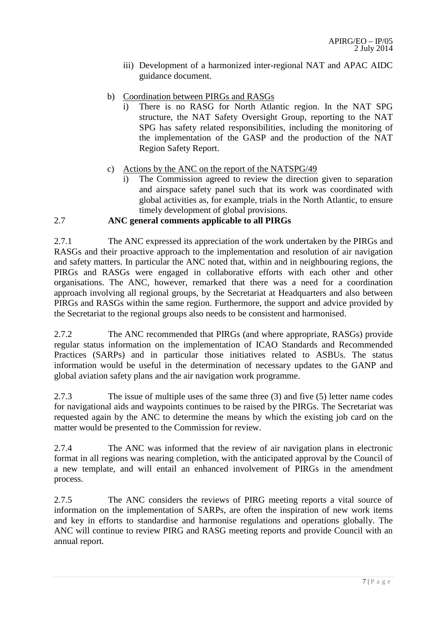- iii) Development of a harmonized inter-regional NAT and APAC AIDC guidance document.
- b) Coordination between PIRGs and RASGs
	- i) There is no RASG for North Atlantic region. In the NAT SPG structure, the NAT Safety Oversight Group, reporting to the NAT SPG has safety related responsibilities, including the monitoring of the implementation of the GASP and the production of the NAT Region Safety Report.
- c) Actions by the ANC on the report of the NATSPG/49
	- i) The Commission agreed to review the direction given to separation and airspace safety panel such that its work was coordinated with global activities as, for example, trials in the North Atlantic, to ensure timely development of global provisions.

# 2.7 **ANC general comments applicable to all PIRGs**

2.7.1 The ANC expressed its appreciation of the work undertaken by the PIRGs and RASGs and their proactive approach to the implementation and resolution of air navigation and safety matters. In particular the ANC noted that, within and in neighbouring regions, the PIRGs and RASGs were engaged in collaborative efforts with each other and other organisations. The ANC, however, remarked that there was a need for a coordination approach involving all regional groups, by the Secretariat at Headquarters and also between PIRGs and RASGs within the same region. Furthermore, the support and advice provided by the Secretariat to the regional groups also needs to be consistent and harmonised.

2.7.2 The ANC recommended that PIRGs (and where appropriate, RASGs) provide regular status information on the implementation of ICAO Standards and Recommended Practices (SARPs) and in particular those initiatives related to ASBUs. The status information would be useful in the determination of necessary updates to the GANP and global aviation safety plans and the air navigation work programme.

2.7.3 The issue of multiple uses of the same three (3) and five (5) letter name codes for navigational aids and waypoints continues to be raised by the PIRGs. The Secretariat was requested again by the ANC to determine the means by which the existing job card on the matter would be presented to the Commission for review.

2.7.4 The ANC was informed that the review of air navigation plans in electronic format in all regions was nearing completion, with the anticipated approval by the Council of a new template, and will entail an enhanced involvement of PIRGs in the amendment process.

2.7.5 The ANC considers the reviews of PIRG meeting reports a vital source of information on the implementation of SARPs, are often the inspiration of new work items and key in efforts to standardise and harmonise regulations and operations globally. The ANC will continue to review PIRG and RASG meeting reports and provide Council with an annual report*.*